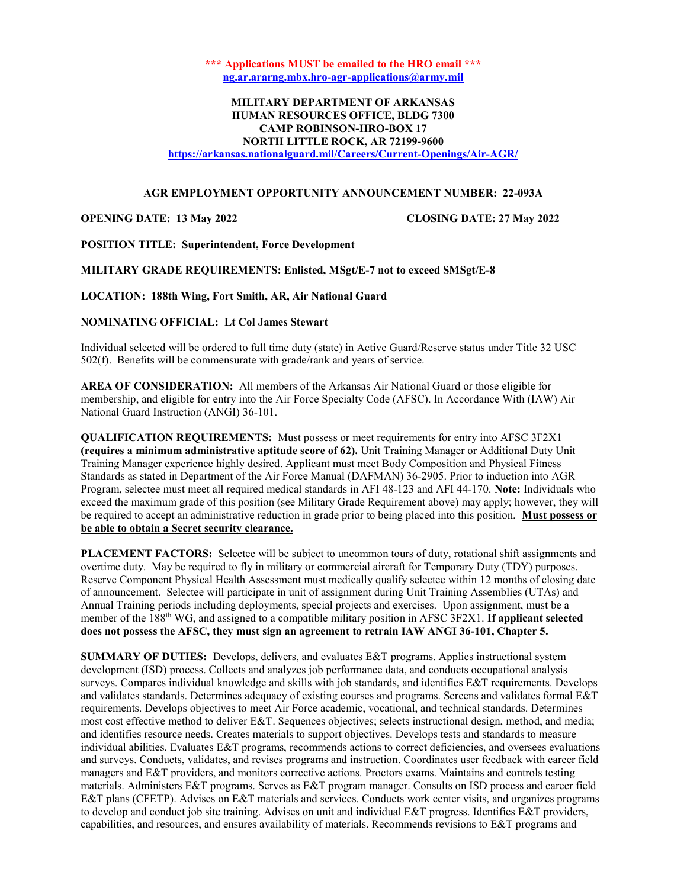\*\*\* Applications MUST be emailed to the HRO email \*\*\* ng.ar.ararng.mbx.hro-agr-applications@army.mil

# MILITARY DEPARTMENT OF ARKANSAS HUMAN RESOURCES OFFICE, BLDG 7300 CAMP ROBINSON-HRO-BOX 17 NORTH LITTLE ROCK, AR 72199-9600

https://arkansas.nationalguard.mil/Careers/Current-Openings/Air-AGR/

# AGR EMPLOYMENT OPPORTUNITY ANNOUNCEMENT NUMBER: 22-093A

### OPENING DATE: 13 May 2022 CLOSING DATE: 27 May 2022

POSITION TITLE: Superintendent, Force Development

### MILITARY GRADE REQUIREMENTS: Enlisted, MSgt/E-7 not to exceed SMSgt/E-8

LOCATION: 188th Wing, Fort Smith, AR, Air National Guard

# NOMINATING OFFICIAL: Lt Col James Stewart

Individual selected will be ordered to full time duty (state) in Active Guard/Reserve status under Title 32 USC 502(f). Benefits will be commensurate with grade/rank and years of service.

AREA OF CONSIDERATION: All members of the Arkansas Air National Guard or those eligible for membership, and eligible for entry into the Air Force Specialty Code (AFSC). In Accordance With (IAW) Air National Guard Instruction (ANGI) 36-101.

QUALIFICATION REQUIREMENTS: Must possess or meet requirements for entry into AFSC 3F2X1 (requires a minimum administrative aptitude score of 62). Unit Training Manager or Additional Duty Unit Training Manager experience highly desired. Applicant must meet Body Composition and Physical Fitness Standards as stated in Department of the Air Force Manual (DAFMAN) 36-2905. Prior to induction into AGR Program, selectee must meet all required medical standards in AFI 48-123 and AFI 44-170. Note: Individuals who exceed the maximum grade of this position (see Military Grade Requirement above) may apply; however, they will be required to accept an administrative reduction in grade prior to being placed into this position. Must possess or be able to obtain a Secret security clearance.

PLACEMENT FACTORS: Selectee will be subject to uncommon tours of duty, rotational shift assignments and overtime duty. May be required to fly in military or commercial aircraft for Temporary Duty (TDY) purposes. Reserve Component Physical Health Assessment must medically qualify selectee within 12 months of closing date of announcement. Selectee will participate in unit of assignment during Unit Training Assemblies (UTAs) and Annual Training periods including deployments, special projects and exercises. Upon assignment, must be a member of the 188th WG, and assigned to a compatible military position in AFSC 3F2X1. If applicant selected does not possess the AFSC, they must sign an agreement to retrain IAW ANGI 36-101, Chapter 5.

SUMMARY OF DUTIES: Develops, delivers, and evaluates E&T programs. Applies instructional system development (ISD) process. Collects and analyzes job performance data, and conducts occupational analysis surveys. Compares individual knowledge and skills with job standards, and identifies E&T requirements. Develops and validates standards. Determines adequacy of existing courses and programs. Screens and validates formal E&T requirements. Develops objectives to meet Air Force academic, vocational, and technical standards. Determines most cost effective method to deliver E&T. Sequences objectives; selects instructional design, method, and media; and identifies resource needs. Creates materials to support objectives. Develops tests and standards to measure individual abilities. Evaluates E&T programs, recommends actions to correct deficiencies, and oversees evaluations and surveys. Conducts, validates, and revises programs and instruction. Coordinates user feedback with career field managers and E&T providers, and monitors corrective actions. Proctors exams. Maintains and controls testing materials. Administers E&T programs. Serves as E&T program manager. Consults on ISD process and career field E&T plans (CFETP). Advises on E&T materials and services. Conducts work center visits, and organizes programs to develop and conduct job site training. Advises on unit and individual E&T progress. Identifies E&T providers, capabilities, and resources, and ensures availability of materials. Recommends revisions to E&T programs and